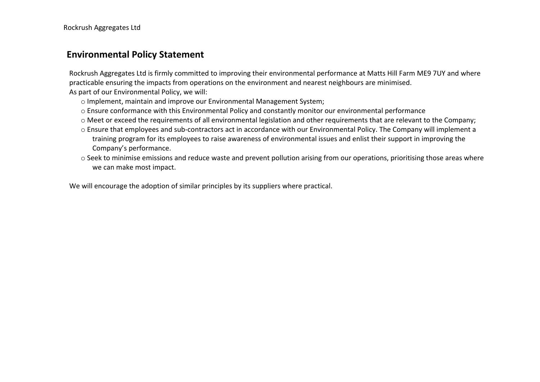## **Environmental Policy Statement**

Rockrush Aggregates Ltd is firmly committed to improving their environmental performance at Matts Hill Farm ME9 7UY and where practicable ensuring the impacts from operations on the environment and nearest neighbours are minimised. As part of our Environmental Policy, we will:

- o Implement, maintain and improve our Environmental Management System;
- o Ensure conformance with this Environmental Policy and constantly monitor our environmental performance
- o Meet or exceed the requirements of all environmental legislation and other requirements that are relevant to the Company;
- o Ensure that employees and sub-contractors act in accordance with our Environmental Policy. The Company will implement a training program for its employees to raise awareness of environmental issues and enlist their support in improving the Company's performance.
- o Seek to minimise emissions and reduce waste and prevent pollution arising from our operations, prioritising those areas where we can make most impact.

We will encourage the adoption of similar principles by its suppliers where practical.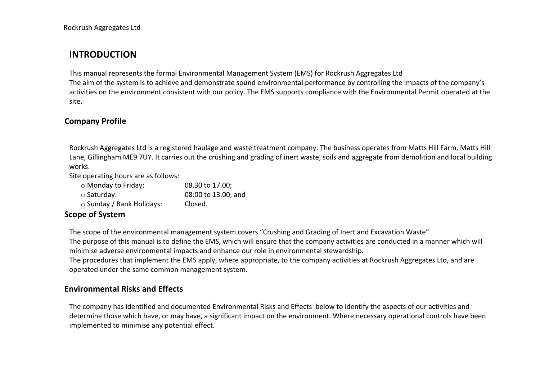## **INTRODUCTION**

This manual represents the formal Environmental Management System (EMS) for Rockrush Aggregates Ltd The aim of the system is to achieve and demonstrate sound environmental performance by controlling the impacts of the company's activities on the environment consistent with our policy. The EMS supports compliance with the Environmental Permit operated at the site.

### **Company Profile**

Rockrush Aggregates Ltd is a registered haulage and waste treatment company. The business operates from Matts Hill Farm, Matts Hill Lane, Gillingham ME9 7UY. It carries out the crushing and grading of inert waste, soils and aggregate from demolition and local building works.

Site operating hours are as follows:

| ○ Monday to Friday:       | 08.30 to 17.00;     |
|---------------------------|---------------------|
| ⊙ Saturday:               | 08:00 to 13.00; and |
| ○ Sunday / Bank Holidays: | Closed.             |

## **Scope of System**

The scope of the environmental management system covers "Crushing and Grading of Inert and Excavation Waste" The purpose of this manual is to define the EMS, which will ensure that the company activities are conducted in a manner which will minimise adverse environmental impacts and enhance our role in environmental stewardship.

The procedures that implement the EMS apply, where appropriate, to the company activities at Rockrush Aggregates Ltd, and are operated under the same common management system.

### **Environmental Risks and Effects**

The company has identified and documented Environmental Risks and Effects below to identify the aspects of our activities and determine those which have, or may have, a significant impact on the environment. Where necessary operational controls have been implemented to minimise any potential effect.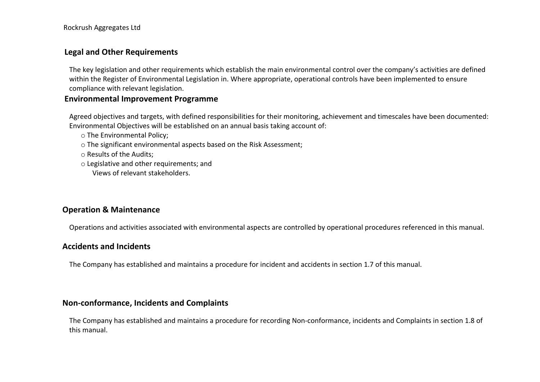### **Legal and Other Requirements**

The key legislation and other requirements which establish the main environmental control over the company's activities are defined within the Register of Environmental Legislation in. Where appropriate, operational controls have been implemented to ensure compliance with relevant legislation.

### **Environmental Improvement Programme**

Agreed objectives and targets, with defined responsibilities for their monitoring, achievement and timescales have been documented: Environmental Objectives will be established on an annual basis taking account of:

o The Environmental Policy;

o The significant environmental aspects based on the Risk Assessment;

o Results of the Audits;

- o Legislative and other requirements; and
	- Views of relevant stakeholders.

### **Operation & Maintenance**

Operations and activities associated with environmental aspects are controlled by operational procedures referenced in this manual.

#### **Accidents and Incidents**

The Company has established and maintains a procedure for incident and accidents in section 1.7 of this manual.

#### **Non-conformance, Incidents and Complaints**

The Company has established and maintains a procedure for recording Non-conformance, incidents and Complaints in section 1.8 of this manual.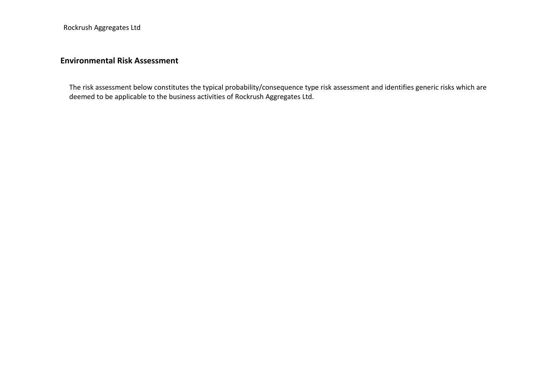## **Environmental Risk Assessment**

The risk assessment below constitutes the typical probability/consequence type risk assessment and identifies generic risks which are deemed to be applicable to the business activities of Rockrush Aggregates Ltd.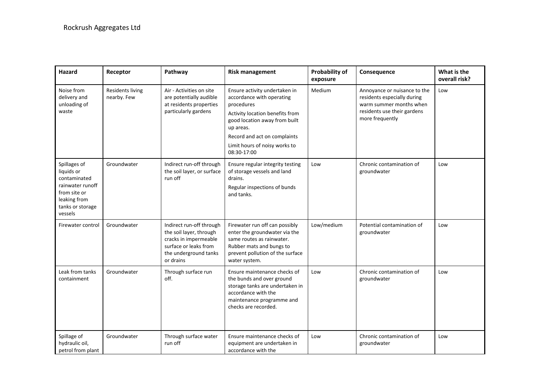| Hazard                                                                                                                        | Receptor                               | Pathway                                                                                                                                     | <b>Risk management</b>                                                                                                                                                                                                                    | Probability of<br>exposure | Consequence                                                                                                                              | What is the<br>overall risk? |
|-------------------------------------------------------------------------------------------------------------------------------|----------------------------------------|---------------------------------------------------------------------------------------------------------------------------------------------|-------------------------------------------------------------------------------------------------------------------------------------------------------------------------------------------------------------------------------------------|----------------------------|------------------------------------------------------------------------------------------------------------------------------------------|------------------------------|
| Noise from<br>delivery and<br>unloading of<br>waste                                                                           | <b>Residents living</b><br>nearby. Few | Air - Activities on site<br>are potentially audible<br>at residents properties<br>particularly gardens                                      | Ensure activity undertaken in<br>accordance with operating<br>procedures<br>Activity location benefits from<br>good location away from built<br>up areas.<br>Record and act on complaints<br>Limit hours of noisy works to<br>08:30-17:00 | Medium                     | Annoyance or nuisance to the<br>residents especially during<br>warm summer months when<br>residents use their gardens<br>more frequently | Low                          |
| Spillages of<br>liquids or<br>contaminated<br>rainwater runoff<br>from site or<br>leaking from<br>tanks or storage<br>vessels | Groundwater                            | Indirect run-off through<br>the soil layer, or surface<br>run off                                                                           | Ensure regular integrity testing<br>of storage vessels and land<br>drains.<br>Regular inspections of bunds<br>and tanks.                                                                                                                  | Low                        | Chronic contamination of<br>groundwater                                                                                                  | Low                          |
| Firewater control                                                                                                             | Groundwater                            | Indirect run-off through<br>the soil layer, through<br>cracks in impermeable<br>surface or leaks from<br>the underground tanks<br>or drains | Firewater run off can possibly<br>enter the groundwater via the<br>same routes as rainwater.<br>Rubber mats and bungs to<br>prevent pollution of the surface<br>water system.                                                             | Low/medium                 | Potential contamination of<br>groundwater                                                                                                | Low                          |
| Leak from tanks<br>containment                                                                                                | Groundwater                            | Through surface run<br>off.                                                                                                                 | Ensure maintenance checks of<br>the bunds and over ground<br>storage tanks are undertaken in<br>accordance with the<br>maintenance programme and<br>checks are recorded.                                                                  | Low                        | Chronic contamination of<br>groundwater                                                                                                  | Low                          |
| Spillage of<br>hydraulic oil,<br>petrol from plant                                                                            | Groundwater                            | Through surface water<br>run off                                                                                                            | Ensure maintenance checks of<br>equipment are undertaken in<br>accordance with the                                                                                                                                                        | Low                        | Chronic contamination of<br>groundwater                                                                                                  | Low                          |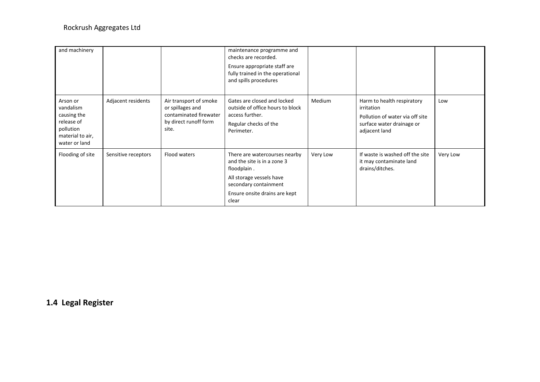| and machinery                                                                                        |                     |                                                                                                        | maintenance programme and<br>checks are recorded.<br>Ensure appropriate staff are<br>fully trained in the operational<br>and spills procedures |          |                                                                                                                           |          |
|------------------------------------------------------------------------------------------------------|---------------------|--------------------------------------------------------------------------------------------------------|------------------------------------------------------------------------------------------------------------------------------------------------|----------|---------------------------------------------------------------------------------------------------------------------------|----------|
| Arson or<br>vandalism<br>causing the<br>release of<br>pollution<br>material to air,<br>water or land | Adjacent residents  | Air transport of smoke<br>or spillages and<br>contaminated firewater<br>by direct runoff form<br>site. | Gates are closed and locked<br>outside of office hours to block<br>access further.<br>Regular checks of the<br>Perimeter.                      | Medium   | Harm to health respiratory<br>irritation<br>Pollution of water via off site<br>surface water drainage or<br>adjacent land | Low      |
| Flooding of site                                                                                     | Sensitive receptors | Flood waters                                                                                           | There are watercourses nearby<br>and the site is in a zone 3<br>floodplain.<br>All storage vessels have<br>secondary containment               | Very Low | If waste is washed off the site<br>it may contaminate land<br>drains/ditches.                                             | Very Low |
|                                                                                                      |                     |                                                                                                        | Ensure onsite drains are kept<br>clear                                                                                                         |          |                                                                                                                           |          |

**1.4 Legal Register**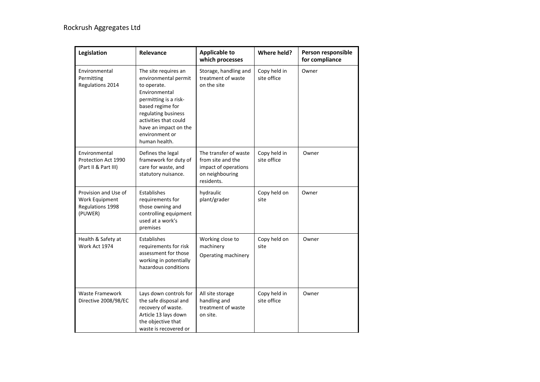| Legislation                                                           | Relevance                                                                                                                                                                                                                             | <b>Applicable to</b><br>which processes                                                             | Where held?                 | Person responsible<br>for compliance |
|-----------------------------------------------------------------------|---------------------------------------------------------------------------------------------------------------------------------------------------------------------------------------------------------------------------------------|-----------------------------------------------------------------------------------------------------|-----------------------------|--------------------------------------|
| Environmental<br>Permitting<br>Regulations 2014                       | The site requires an<br>environmental permit<br>to operate.<br>Environmental<br>permitting is a risk-<br>based regime for<br>regulating business<br>activities that could<br>have an impact on the<br>environment or<br>human health. | Storage, handling and<br>treatment of waste<br>on the site                                          | Copy held in<br>site office | Owner                                |
| Environmental<br>Protection Act 1990<br>(Part II & Part III)          | Defines the legal<br>framework for duty of<br>care for waste, and<br>statutory nuisance.                                                                                                                                              | The transfer of waste<br>from site and the<br>impact of operations<br>on neighbouring<br>residents. | Copy held in<br>site office | Owner                                |
| Provision and Use of<br>Work Equipment<br>Regulations 1998<br>(PUWER) | Establishes<br>requirements for<br>those owning and<br>controlling equipment<br>used at a work's<br>premises                                                                                                                          | hydraulic<br>plant/grader                                                                           | Copy held on<br>site        | Owner                                |
| Health & Safety at<br>Work Act 1974                                   | Establishes<br>requirements for risk<br>assessment for those<br>working in potentially<br>hazardous conditions                                                                                                                        | Working close to<br>machinery<br>Operating machinery                                                | Copy held on<br>site        | Owner                                |
| <b>Waste Framework</b><br>Directive 2008/98/EC                        | Lays down controls for<br>the safe disposal and<br>recovery of waste.<br>Article 13 lays down<br>the objective that<br>waste is recovered or                                                                                          | All site storage<br>handling and<br>treatment of waste<br>on site.                                  | Copy held in<br>site office | Owner                                |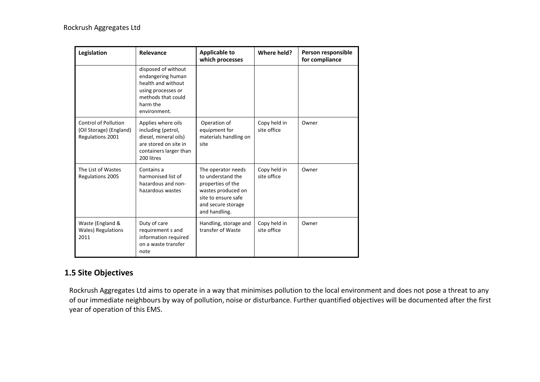| Legislation                                                                | Relevance                                                                                                                              | <b>Applicable to</b><br>which processes                                                                                                          | Where held?                 | Person responsible<br>for compliance |
|----------------------------------------------------------------------------|----------------------------------------------------------------------------------------------------------------------------------------|--------------------------------------------------------------------------------------------------------------------------------------------------|-----------------------------|--------------------------------------|
|                                                                            | disposed of without<br>endangering human<br>health and without<br>using processes or<br>methods that could<br>harm the<br>environment. |                                                                                                                                                  |                             |                                      |
| <b>Control of Pollution</b><br>(Oil Storage) (England)<br>Regulations 2001 | Applies where oils<br>including (petrol,<br>diesel, mineral oils)<br>are stored on site in<br>containers larger than<br>200 litres     | Operation of<br>equipment for<br>materials handling on<br>site                                                                                   | Copy held in<br>site office | Owner                                |
| The List of Wastes<br>Regulations 2005                                     | Contains a<br>harmonised list of<br>hazardous and non-<br>hazardous wastes                                                             | The operator needs<br>to understand the<br>properties of the<br>wastes produced on<br>site to ensure safe<br>and secure storage<br>and handling. | Copy held in<br>site office | Owner                                |
| Waste (England &<br><b>Wales</b> ) Regulations<br>2011                     | Duty of care<br>requirement s and<br>information required<br>on a waste transfer<br>note                                               | Handling, storage and<br>transfer of Waste                                                                                                       | Copy held in<br>site office | Owner                                |

## **1.5 Site Objectives**

Rockrush Aggregates Ltd aims to operate in a way that minimises pollution to the local environment and does not pose a threat to any of our immediate neighbours by way of pollution, noise or disturbance. Further quantified objectives will be documented after the first year of operation of this EMS.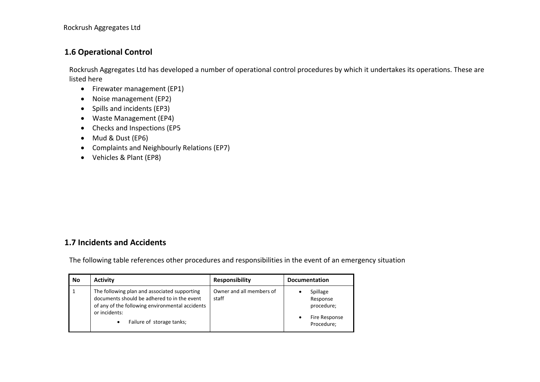### **1.6 Operational Control**

Rockrush Aggregates Ltd has developed a number of operational control procedures by which it undertakes its operations. These are listed here

- Firewater management (EP1)
- Noise management (EP2)
- Spills and incidents (EP3)
- Waste Management (EP4)
- Checks and Inspections (EP5
- Mud & Dust (EP6)
- Complaints and Neighbourly Relations (EP7)
- Vehicles & Plant (EP8)

## **1.7 Incidents and Accidents**

The following table references other procedures and responsibilities in the event of an emergency situation

| No | <b>Activity</b>                                                                                                                                                                              | <b>Responsibility</b>             | <b>Documentation</b>                                              |
|----|----------------------------------------------------------------------------------------------------------------------------------------------------------------------------------------------|-----------------------------------|-------------------------------------------------------------------|
|    | The following plan and associated supporting<br>documents should be adhered to in the event<br>of any of the following environmental accidents<br>or incidents:<br>Failure of storage tanks; | Owner and all members of<br>staff | Spillage<br>Response<br>procedure;<br>Fire Response<br>Procedure; |